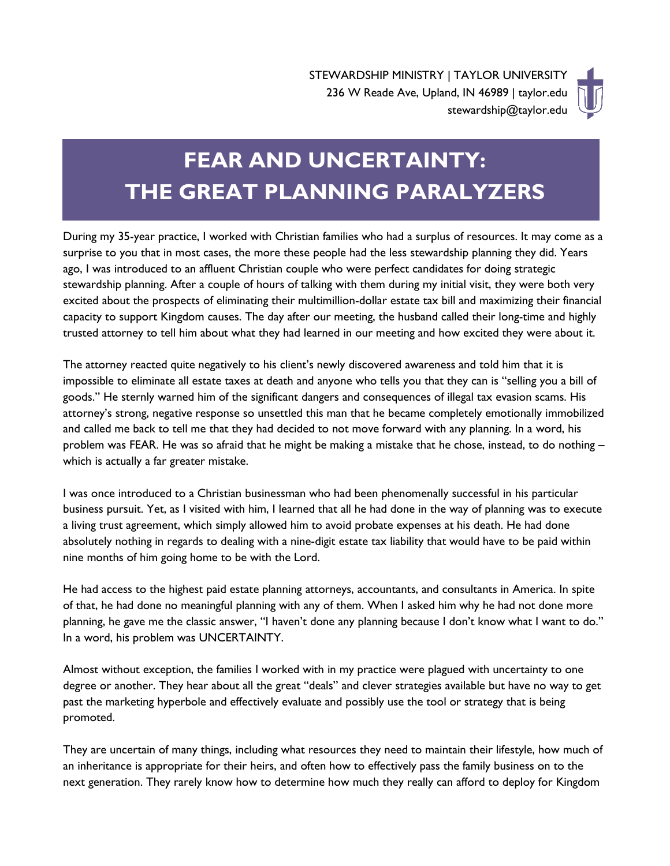

## **FEAR AND UNCERTAINTY: THE GREAT PLANNING PARALYZERS**

**FEAR AND UNCERTAINTY:**

During my 35-year practice, I worked with Christian families who had a surplus of resources. It may come as a surprise to you that in most cases, the more these people had the less stewardship planning they did. Years ago, I was introduced to an affluent Christian couple who were perfect candidates for doing strategic stewardship planning. After a couple of hours of talking with them during my initial visit, they were both very excited about the prospects of eliminating their multimillion-dollar estate tax bill and maximizing their financial capacity to support Kingdom causes. The day after our meeting, the husband called their long-time and highly trusted attorney to tell him about what they had learned in our meeting and how excited they were about it.

The attorney reacted quite negatively to his client's newly discovered awareness and told him that it is impossible to eliminate all estate taxes at death and anyone who tells you that they can is "selling you a bill of goods." He sternly warned him of the significant dangers and consequences of illegal tax evasion scams. His attorney's strong, negative response so unsettled this man that he became completely emotionally immobilized and called me back to tell me that they had decided to not move forward with any planning. In a word, his problem was FEAR. He was so afraid that he might be making a mistake that he chose, instead, to do nothing – which is actually a far greater mistake.

I was once introduced to a Christian businessman who had been phenomenally successful in his particular business pursuit. Yet, as I visited with him, I learned that all he had done in the way of planning was to execute a living trust agreement, which simply allowed him to avoid probate expenses at his death. He had done absolutely nothing in regards to dealing with a nine-digit estate tax liability that would have to be paid within nine months of him going home to be with the Lord.

He had access to the highest paid estate planning attorneys, accountants, and consultants in America. In spite of that, he had done no meaningful planning with any of them. When I asked him why he had not done more planning, he gave me the classic answer, "I haven't done any planning because I don't know what I want to do." In a word, his problem was UNCERTAINTY.

Almost without exception, the families I worked with in my practice were plagued with uncertainty to one degree or another. They hear about all the great "deals" and clever strategies available but have no way to get past the marketing hyperbole and effectively evaluate and possibly use the tool or strategy that is being promoted.

They are uncertain of many things, including what resources they need to maintain their lifestyle, how much of an inheritance is appropriate for their heirs, and often how to effectively pass the family business on to the next generation. They rarely know how to determine how much they really can afford to deploy for Kingdom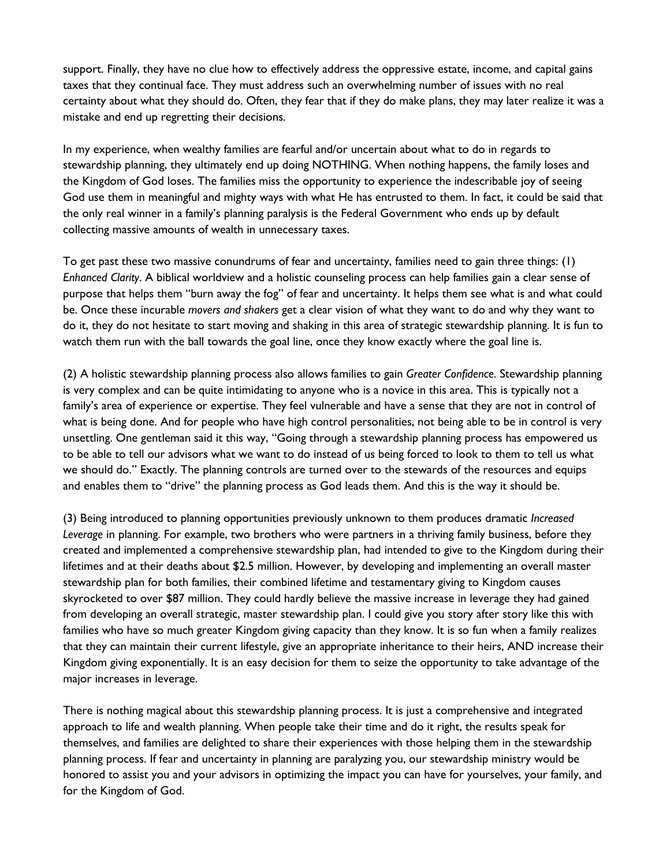support. Finally, they have no clue how to effectively address the oppressive estate, income, and capital gains taxes that they continual face. They must address such an overwhelming number of issues with no real certainty about what they should do. Often, they fear that if they do make plans, they may later realize it was a mistake and end up regretting their decisions.

In my experience, when wealthy families are fearful and/or uncertain about what to do in regards to stewardship planning, they ultimately end up doing NOTHING. When nothing happens, the family loses and the Kingdom of God loses. The families miss the opportunity to experience the indescribable joy of seeing God use them in meaningful and mighty ways with what He has entrusted to them. In fact, it could be said that the only real winner in a family's planning paralysis is the Federal Government who ends up by default collecting massive amounts of wealth in unnecessary taxes.

To get past these two massive conundrums of fear and uncertainty, families need to gain three things: (1) *Enhanced Clarity*. A biblical worldview and a holistic counseling process can help families gain a clear sense of purpose that helps them "burn away the fog" of fear and uncertainty. It helps them see what is and what could be. Once these incurable *movers and shakers* get a clear vision of what they want to do and why they want to do it, they do not hesitate to start moving and shaking in this area of strategic stewardship planning. It is fun to watch them run with the ball towards the goal line, once they know exactly where the goal line is.

(2) A holistic stewardship planning process also allows families to gain *Greater Confidence*. Stewardship planning is very complex and can be quite intimidating to anyone who is a novice in this area. This is typically not a family's area of experience or expertise. They feel vulnerable and have a sense that they are not in control of what is being done. And for people who have high control personalities, not being able to be in control is very unsettling. One gentleman said it this way, "Going through a stewardship planning process has empowered us to be able to tell our advisors what we want to do instead of us being forced to look to them to tell us what we should do." Exactly. The planning controls are turned over to the stewards of the resources and equips and enables them to "drive" the planning process as God leads them. And this is the way it should be.

(3) Being introduced to planning opportunities previously unknown to them produces dramatic *Increased Leverage* in planning. For example, two brothers who were partners in a thriving family business, before they created and implemented a comprehensive stewardship plan, had intended to give to the Kingdom during their lifetimes and at their deaths about \$2.5 million. However, by developing and implementing an overall master stewardship plan for both families, their combined lifetime and testamentary giving to Kingdom causes skyrocketed to over \$87 million. They could hardly believe the massive increase in leverage they had gained from developing an overall strategic, master stewardship plan. I could give you story after story like this with families who have so much greater Kingdom giving capacity than they know. It is so fun when a family realizes that they can maintain their current lifestyle, give an appropriate inheritance to their heirs, AND increase their Kingdom giving exponentially. It is an easy decision for them to seize the opportunity to take advantage of the major increases in leverage.

There is nothing magical about this stewardship planning process. It is just a comprehensive and integrated approach to life and wealth planning. When people take their time and do it right, the results speak for themselves, and families are delighted to share their experiences with those helping them in the stewardship planning process. If fear and uncertainty in planning are paralyzing you, our stewardship ministry would be honored to assist you and your advisors in optimizing the impact you can have for yourselves, your family, and for the Kingdom of God.